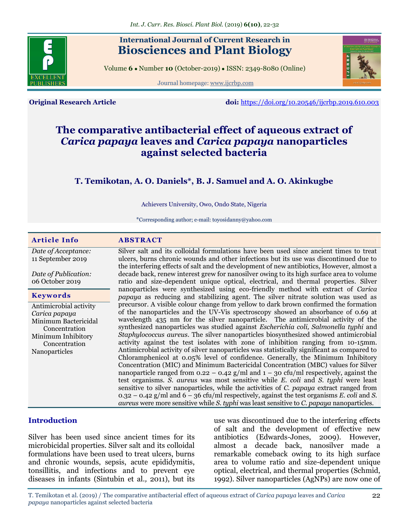

# **International Journal of Current Research in Biosciences and Plant Biology**

Volume **6** ● Number **10** (October-2019) ● ISSN: 2349-8080 (Online)

Journal homepage: [www.ijcrbp.com](http://www.ijcrbp.com/)



**Original Research Article doi:** <https://doi.org/10.20546/ijcrbp.2019.610.003>

# **The comparative antibacterial effect of aqueous extract of**  *Carica papaya* **leaves and** *Carica papaya* **nanoparticles against selected bacteria**

## **T. Temikotan, A. O. Daniels\*, B. J. Samuel and A. O. Akinkugbe**

Achievers University, Owo, Ondo State, Nigeria

\*Corresponding author; e-mail: toyosi.danny@yahoo.com

| <b>Article Info</b>                                                                                                                      | <b>ABSTRACT</b>                                                                                                                                                                                                                                                                                                                                                                                                                                                                                                                                                                                                                                                                                                                                                                                                                                                                                                                                                                                                                                                                                                                                                                                                                                                                                                                  |
|------------------------------------------------------------------------------------------------------------------------------------------|----------------------------------------------------------------------------------------------------------------------------------------------------------------------------------------------------------------------------------------------------------------------------------------------------------------------------------------------------------------------------------------------------------------------------------------------------------------------------------------------------------------------------------------------------------------------------------------------------------------------------------------------------------------------------------------------------------------------------------------------------------------------------------------------------------------------------------------------------------------------------------------------------------------------------------------------------------------------------------------------------------------------------------------------------------------------------------------------------------------------------------------------------------------------------------------------------------------------------------------------------------------------------------------------------------------------------------|
| Date of Acceptance:<br>11 September 2019<br>Date of Publication:                                                                         | Silver salt and its colloidal formulations have been used since ancient times to treat<br>ulcers, burns chronic wounds and other infections but its use was discontinued due to<br>the interfering effects of salt and the development of new antibiotics, However, almost a<br>decade back, renew interest grew for nanosilver owing to its high surface area to volume                                                                                                                                                                                                                                                                                                                                                                                                                                                                                                                                                                                                                                                                                                                                                                                                                                                                                                                                                         |
| 06 October 2019                                                                                                                          | ratio and size-dependent unique optical, electrical, and thermal properties. Silver<br>nanoparticles were synthesized using eco-friendly method with extract of <i>Carica</i>                                                                                                                                                                                                                                                                                                                                                                                                                                                                                                                                                                                                                                                                                                                                                                                                                                                                                                                                                                                                                                                                                                                                                    |
| <b>Keywords</b>                                                                                                                          | papaya as reducing and stabilizing agent. The silver nitrate solution was used as                                                                                                                                                                                                                                                                                                                                                                                                                                                                                                                                                                                                                                                                                                                                                                                                                                                                                                                                                                                                                                                                                                                                                                                                                                                |
| Antimicrobial activity<br>Carica papaya<br>Minimum Bactericidal<br>Concentration<br>Minimum Inhibitory<br>Concentration<br>Nanoparticles | precursor. A visible colour change from yellow to dark brown confirmed the formation<br>of the nanoparticles and the UV-Vis spectroscopy showed an absorbance of 0.69 at<br>wavelength 435 nm for the silver nanoparticle. The antimicrobial activity of the<br>synthesized nanoparticles was studied against <i>Escherichia coli</i> , <i>Salmonella typhi</i> and<br><i>Staphylococcus aureus.</i> The silver nanoparticles biosynthesized showed antimicrobial<br>activity against the test isolates with zone of inhibition ranging from 10-15mm.<br>Antimicrobial activity of silver nanoparticles was statistically significant as compared to<br>Chloramphenicol at 0.05% level of confidence. Generally, the Minimum Inhibitory<br>Concentration (MIC) and Minimum Bactericidal Concentration (MBC) values for Silver<br>nanoparticle ranged from $0.22 - 0.42$ g/ml and $1 - 30$ cfu/ml respectively, against the<br>test organisms. S. aureus was most sensitive while E. coli and S. typhi were least<br>sensitive to silver nanoparticles, while the activities of C. papaya extract ranged from<br>$0.32 - 0.42$ g/ml and $6 - 36$ cfu/ml respectively, against the test organisms E. coli and S.<br><i>aureus</i> were more sensitive while <i>S. typhi</i> was least sensitive to <i>C. papaya</i> nanoparticles. |

## **Introduction**

Silver has been used since ancient times for its microbicidal properties. Silver salt and its colloidal formulations have been used to treat ulcers, burns and chronic wounds, sepsis, acute epididymitis, tonsillitis, and infections and to prevent eye diseases in infants (Sintubin et al*.,* 2011), but its use was discontinued due to the interfering effects of salt and the development of effective new antibiotics (Edwards-Jones, 2009). However, almost a decade back, nanosilver made a remarkable comeback owing to its high surface area to volume ratio and size-dependent unique optical, electrical, and thermal properties (Schmid, 1992). Silver nanoparticles (AgNPs) are now one of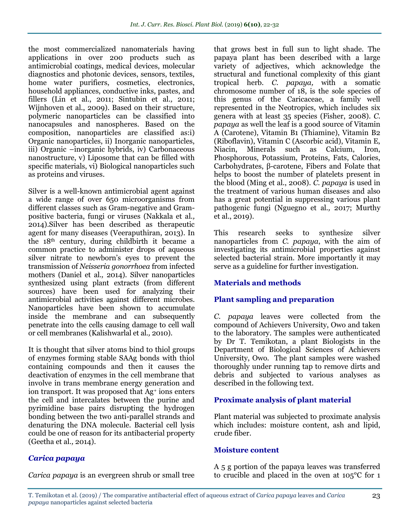the most commercialized nanomaterials having applications in over 200 products such as antimicrobial coatings, medical devices, molecular diagnostics and photonic devices, sensors, textiles, home water purifiers, cosmetics, electronics, household appliances, conductive inks, pastes, and fillers (Lin et al., 2011; Sintubin et al*.,* 2011; Wijnhoven et al., 2009). Based on their structure, polymeric nanoparticles can be classified into nanocapsules and nanospheres. Based on the composition, nanoparticles are classified as:i) Organic nanoparticles, ii) Inorganic nanoparticles, iii) Organic –inorganic hybrids, iv) Carbonaceous nanostructure, v) Liposome that can be filled with specific materials, vi) Biological nanoparticles such as proteins and viruses.

Silver is a well-known antimicrobial agent against a wide range of over 650 microorganisms from different classes such as Gram-negative and Grampositive bacteria, fungi or viruses (Nakkala et al*.,* 2014).Silver has been described as therapeutic agent for many diseases (Veeraputhiran, 2013). In the 18th century, during childbirth it became a common practice to administer drops of aqueous silver nitrate to newborn's eyes to prevent the transmission of *Neisseria gonorrhoea* from infected mothers (Daniel et al*.,* 2014). Silver nanoparticles synthesized using plant extracts (from different sources) have been used for analyzing their antimicrobial activities against different microbes. Nanoparticles have been shown to accumulate inside the membrane and can subsequently penetrate into the cells causing damage to cell wall or cell membranes (Kalishwarlal et al*.,* 2010).

It is thought that silver atoms bind to thiol groups of enzymes forming stable SAAg bonds with thiol containing compounds and then it causes the deactivation of enzymes in the cell membrane that involve in trans membrane energy generation and ion transport. It was proposed that Ag<sup>+</sup> ions enters the cell and intercalates between the purine and pyrimidine base pairs disrupting the hydrogen bonding between the two anti-parallel strands and denaturing the DNA molecule. Bacterial cell lysis could be one of reason for its antibacterial property (Geetha et al*.,* 2014).

#### *Carica papaya*

*Carica papaya* is an evergreen shrub or small tree

that grows best in full sun to light shade. The papaya plant has been described with a large variety of adjectives, which acknowledge the structural and functional complexity of this giant tropical herb. *C. papaya,* with a somatic chromosome number of 18, is the sole species of this genus of the Caricaceae, a family well represented in the Neotropics, which includes six genera with at least 35 species (Fisher, 2008). *C. papaya* as well the leaf is a good source of Vitamin A (Carotene), Vitamin B1 (Thiamine), Vitamin B2 (Riboflavin), Vitamin C (Ascorbic acid), Vitamin E, Niacin, Minerals such as Calcium, Iron, Phosphorous, Potassium, Proteins, Fats, Calories, Carbohydrates, β-carotene, Fibers and Folate that helps to boost the number of platelets present in the blood (Ming et al., 2008). *C. papaya* is used in the treatment of various human diseases and also has a great potential in suppressing various plant pathogenic fungi (Nguegno et al*.,* 2017; Murthy et al., 2019).

This research seeks to synthesize silver nanoparticles from *C. papaya*, with the aim of investigating its antimicrobial properties against selected bacterial strain. More importantly it may serve as a guideline for further investigation.

## **Materials and methods**

## **Plant sampling and preparation**

*C. papaya* leaves were collected from the compound of Achievers University, Owo and taken to the laboratory. The samples were authenticated by Dr T. Temikotan, a plant Biologists in the Department of Biological Sciences of Achievers University, Owo. The plant samples were washed thoroughly under running tap to remove dirts and debris and subjected to various analyses as described in the following text.

#### **Proximate analysis of plant material**

Plant material was subjected to proximate analysis which includes: moisture content, ash and lipid, crude fiber.

#### **Moisture content**

A 5 g portion of the papaya leaves was transferred to crucible and placed in the oven at 105°C for 1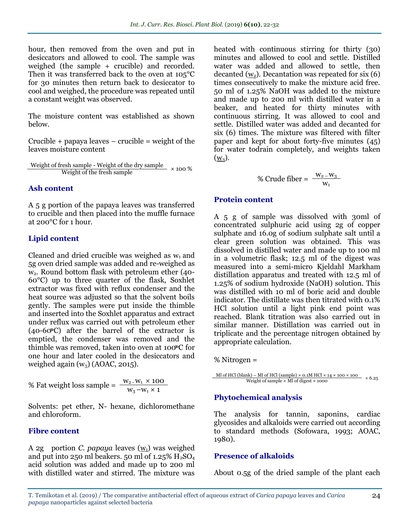hour, then removed from the oven and put in desiccators and allowed to cool. The sample was weighed (the sample + crucible) and recorded. Then it was transferred back to the oven at 105°C for 30 minutes then return back to desiccator to cool and weighed, the procedure was repeated until a constant weight was observed.

The moisture content was established as shown below.

 $Crucible + papaya leaves - crucible = weight of the$ leaves moisture content

Weight of fresh sample - Weight of the dry sample  $\times$  100 %

#### **Ash content**

A 5 g portion of the papaya leaves was transferred to crucible and then placed into the muffle furnace at 200°C for 1 hour.

#### **Lipid content**

Cleaned and dried crucible was weighed as  $w_1$  and 5g oven dried sample was added and re-weighed as w2. Round bottom flask with petroleum ether (40- 60°C) up to three quarter of the flask, Soxhlet extractor was fixed with reflux condenser and the heat source was adjusted so that the solvent boils gently. The samples were put inside the thimble and inserted into the Soxhlet apparatus and extract under reflux was carried out with petroleum ether  $(40-60\degree C)$  after the barrel of the extractor is emptied, the condenser was removed and the thimble was removed, taken into oven at 100°C for one hour and later cooled in the desiccators and weighed again  $(w_3)$  (AOAC, 2015).

% Fat weight loss sample = 
$$
\frac{W_2-W_1 \times 100}{W_3-W_1 \times 1}
$$

Solvents: pet ether, N- hexane, dichloromethane and chloroform.

#### **Fibre content**

A 2g portion *C. papaya* leaves  $(w_1)$  was weighed and put into 250 ml beakers. 50 ml of  $1.25\%$   $\text{H}_2\text{SO}_4$ acid solution was added and made up to 200 ml with distilled water and stirred. The mixture was

heated with continuous stirring for thirty (30) minutes and allowed to cool and settle. Distilled water was added and allowed to settle, then decanted  $(w_2)$ . Decantation was repeated for six  $(6)$ times consecutively to make the mixture acid free. 50 ml of 1.25% NaOH was added to the mixture and made up to 200 ml with distilled water in a beaker, and heated for thirty minutes with continuous stirring. It was allowed to cool and settle. Distilled water was added and decanted for six (6) times. The mixture was filtered with filter paper and kept for about forty-five minutes (45) for water todrain completely, and weights taken  $(\underline{W}_3)$ .

% Crude fiber = 
$$
\frac{W_2 - W_3}{W_1}
$$

#### **Protein content**

A 5 g of sample was dissolved with 30ml of concentrated sulphuric acid using 2g of copper sulphate and 16.0g of sodium sulphate salt until a clear green solution was obtained. This was dissolved in distilled water and made up to 100 ml in a volumetric flask; 12.5 ml of the digest was measured into a semi-micro Kjeldahl Markham distillation apparatus and treated with 12.5 ml of 1.25% of sodium hydroxide (NaOH) solution. This was distilled with 10 ml of boric acid and double indicator. The distillate was then titrated with 0.1% HCl solution until a light pink end point was reached. Blank titration was also carried out in similar manner. Distillation was carried out in triplicate and the percentage nitrogen obtained by appropriate calculation.

% Nitrogen =

$$
\frac{\text{Ml of HCl (blank) - Ml of HCl (sample) \times 0.1M HCl \times 14 \times 100 \times 100}}{\text{Weight of sample} \times \text{Ml of digest} \times 1000} \times 6.25
$$

#### **Phytochemical analysis**

The analysis for tannin, saponins, cardiac glycosides and alkaloids were carried out according to standard methods (Sofowara, 1993; AOAC, 1980).

#### **Presence of alkaloids**

About 0.5g of the dried sample of the plant each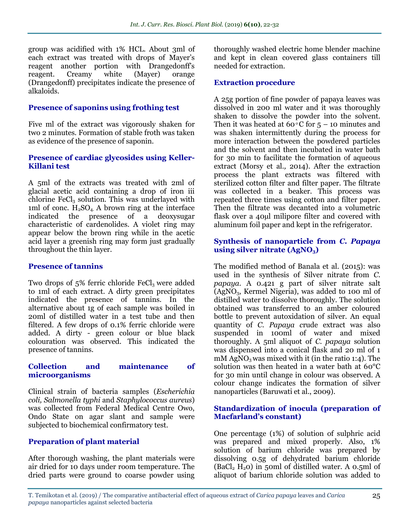group was acidified with 1% HCL. About 3ml of each extract was treated with drops of Mayer's reagent another portion with Drangedonff's reagent. Creamy white (Mayer) orange (Drangedonff) precipitates indicate the presence of alkaloids.

#### **Presence of saponins using frothing test**

Five ml of the extract was vigorously shaken for two 2 minutes. Formation of stable froth was taken as evidence of the presence of saponin.

## **Presence of cardiac glycosides using Keller-Killani test**

A 5ml of the extracts was treated with 2ml of glacial acetic acid containing a drop of iron iii chlorine  $FeCl<sub>3</sub>$  solution. This was underlayed with 1ml of conc.  $H_2SO_4$ . A brown ring at the interface indicated the presence of a deoxysugar characteristic of cardenolides. A violet ring may appear below the brown ring while in the acetic acid layer a greenish ring may form just gradually throughout the thin layer.

#### **Presence of tannins**

Two drops of  $5\%$  ferric chloride FeCl<sub>3</sub> were added to 1ml of each extract. A dirty green precipitates indicated the presence of tannins. In the alternative about 1g of each sample was boiled in 20ml of distilled water in a test tube and then filtered. A few drops of 0.1% ferric chloride were added. A dirty - green colour or blue black colouration was observed. This indicated the presence of tannins.

#### **Collection and maintenance of microorganisms**

Clinical strain of bacteria samples (*Escherichia coli, Salmonella typhi* and *Staphylococcus aureus*) was collected from Federal Medical Centre Owo, Ondo State on agar slant and sample were subjected to biochemical confirmatory test.

## **Preparation of plant material**

After thorough washing, the plant materials were air dried for 10 days under room temperature. The dried parts were ground to coarse powder using thoroughly washed electric home blender machine and kept in clean covered glass containers till needed for extraction.

## **Extraction procedure**

A 25g portion of fine powder of papaya leaves was dissolved in 200 ml water and it was thoroughly shaken to dissolve the powder into the solvent. Then it was heated at 60 °C for  $5 - 10$  minutes and was shaken intermittently during the process for more interaction between the powdered particles and the solvent and then incubated in water bath for 30 min to facilitate the formation of aqueous extract (Morsy et al*.,* 2014). After the extraction process the plant extracts was filtered with sterilized cotton filter and filter paper. The filtrate was collected in a beaker. This process was repeated three times using cotton and filter paper. Then the filtrate was decanted into a volumetric flask over a 40µl milipore filter and covered with aluminum foil paper and kept in the refrigerator.

#### **Synthesis of nanoparticle from** *C. Papaya* **using silver nitrate (AgNO3)**

The modified method of Banala et al. (2015): was used in the synthesis of Silver nitrate from *C. papaya.* A 0.421 g part of silver nitrate salt  $(AgNO<sub>3</sub>, Kernel Nigeria)$ , was added to 100 ml of distilled water to dissolve thoroughly. The solution obtained was transferred to an amber coloured bottle to prevent autoxidation of silver. An equal quantity of *C. Papaya c*rude extract was also suspended in 100ml of water and mixed thoroughly. A 5ml aliquot of *C. papaya* solution was dispensed into a conical flask and 20 ml of 1  $mM$  AgNO<sub>3</sub> was mixed with it (in the ratio 1:4). The solution was then heated in a water bath at 60°C for 30 min until change in colour was observed. A colour change indicates the formation of silver nanoparticles (Baruwati et al., 2009).

#### **Standardization of inocula (preparation of Macfarland's constant)**

One percentage (1%) of solution of sulphric acid was prepared and mixed properly. Also, 1% solution of barium chloride was prepared by dissolving 0.5g of dehydrated barium chloride  $(BaCl<sub>2</sub> H<sub>2</sub>0)$  in 50ml of distilled water. A 0.5ml of aliquot of barium chloride solution was added to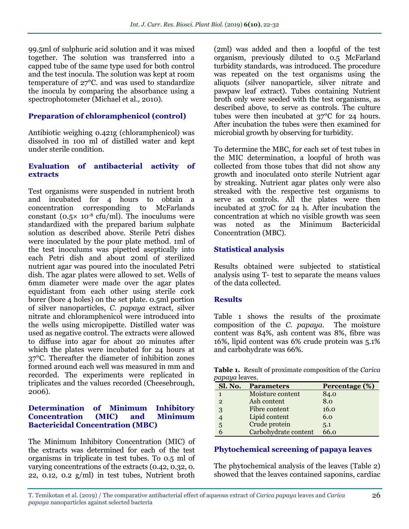99.5ml of sulphuric acid solution and it was mixed together. The solution was transferred into a capped tube of the same type used for both control and the test inocula. The solution was kept at room temperature of 27°C. and was used to standardize the inocula by comparing the absorbance using a spectrophotometer (Michael et al*.,* 2010).

## **Preparation of chloramphenicol (control)**

Antibiotic weighing 0.421g (chloramphenicol) was dissolved in 100 ml of distilled water and kept under sterile condition.

#### **Evaluation of antibacterial activity of extracts**

Test organisms were suspended in nutrient broth and incubated for 4 hours to obtain a concentration corresponding to McFarlands constant ( $0.5 \times 10^{-8}$  cfu/ml). The inoculums were standardized with the prepared barium sulphate solution as described above. Sterile Petri dishes were inoculated by the pour plate method. 1ml of the test inoculums was pipetted aseptically into each Petri dish and about 20ml of sterilized nutrient agar was poured into the inoculated Petri dish. The agar plates were allowed to set. Wells of 6mm diameter were made over the agar plates equidistant from each other using sterile cork borer (bore 4 holes) on the set plate. 0.5ml portion of silver nanoparticles, *C. papaya* extract, silver nitrate and chloramphenicol were introduced into the wells using micropipette. Distilled water was used as negative control. The extracts were allowed to diffuse into agar for about 20 minutes after which the plates were incubated for 24 hours at 37°C. Thereafter the diameter of inhibition zones formed around each well was measured in mm and recorded. The experiments were replicated in triplicates and the values recorded (Cheesebrough, 2006).

#### **Determination of Minimum Inhibitory Concentration (MIC) and Minimum Bactericidal Concentration (MBC)**

The Minimum Inhibitory Concentration (MIC) of the extracts was determined for each of the test organisms in triplicate in test tubes. To 0.5 ml of varying concentrations of the extracts (0.42, 0.32, 0. 22, 0.12, 0.2 g/ml) in test tubes, Nutrient broth

(2ml) was added and then a loopful of the test organism, previously diluted to 0.5 McFarland turbidity standards, was introduced. The procedure was repeated on the test organisms using the aliquots (silver nanoparticle, silver nitrate and pawpaw leaf extract). Tubes containing Nutrient broth only were seeded with the test organisms, as described above, to serve as controls. The culture tubes were then incubated at 37°C for 24 hours. After incubation the tubes were then examined for microbial growth by observing for turbidity.

To determine the MBC, for each set of test tubes in the MIC determination, a loopful of broth was collected from those tubes that did not show any growth and inoculated onto sterile Nutrient agar by streaking. Nutrient agar plates only were also streaked with the respective test organisms to serve as controls. All the plates were then incubated at 37oC for 24 h. After incubation the concentration at which no visible growth was seen was noted as the Minimum Bactericidal Concentration (MBC).

## **Statistical analysis**

Results obtained were subjected to statistical analysis using T- test to separate the means values of the data collected.

#### **Results**

Table 1 shows the results of the proximate composition of the *C. papaya*. The moisture content was 84%, ash content was 8%, fibre was 16%, lipid content was 6% crude protein was 5.1% and carbohydrate was 66%.

**Table 1.** Result of proximate composition of the *Carica papaya* leaves.

| Sl. No.        | <b>Parameters</b>    | Percentage (%) |
|----------------|----------------------|----------------|
| 1              | Moisture content     | 84.0           |
| $\overline{2}$ | Ash content          | 8.0            |
| 3              | Fibre content        | 16.0           |
|                | Lipid content        | 6.0            |
| 5              | Crude protein        | 5.1            |
|                | Carbohydrate content | 66.0           |

## **Phytochemical screening of papaya leaves**

The phytochemical analysis of the leaves (Table 2) showed that the leaves contained saponins, cardiac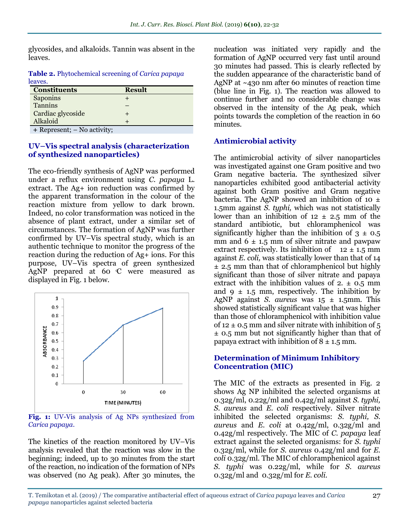glycosides, and alkaloids. Tannin was absent in the leaves.

**Table 2.** Phytochemical screening of *Carica papaya*  leaves.

| <b>Constituents</b>         | <b>Result</b> |
|-----------------------------|---------------|
| Saponins                    |               |
| Tannins                     |               |
| Cardiac glycoside           |               |
| Alkaloid                    |               |
| + Represent; – No activity; |               |

#### **UV–Vis spectral analysis (characterization of synthesized nanoparticles)**

The eco-friendly synthesis of AgNP was performed under a reflux environment using *C. papaya* L. extract. The Ag+ ion reduction was confirmed by the apparent transformation in the colour of the reaction mixture from yellow to dark brown. Indeed, no color transformation was noticed in the absence of plant extract, under a similar set of circumstances. The formation of AgNP was further confirmed by UV–Vis spectral study, which is an authentic technique to monitor the progress of the reaction during the reduction of Ag+ ions. For this purpose, UV–Vis spectra of green synthesized AgNP prepared at 60  $\mathbb C$  were measured as displayed in Fig. 1 below.



**Fig. 1:** UV-Vis analysis of Ag NPs synthesized from *Carica papaya*.

The kinetics of the reaction monitored by UV–Vis analysis revealed that the reaction was slow in the beginning; indeed, up to 30 minutes from the start of the reaction, no indication of the formation of NPs was observed (no Ag peak). After 30 minutes, the

nucleation was initiated very rapidly and the formation of AgNP occurred very fast until around 30 minutes had passed. This is clearly reflected by the sudden appearance of the characteristic band of AgNP at ~430 nm after 60 minutes of reaction time (blue line in Fig. 1). The reaction was allowed to continue further and no considerable change was observed in the intensity of the Ag peak, which points towards the completion of the reaction in 60 minutes.

## **Antimicrobial activity**

The antimicrobial activity of silver nanoparticles was investigated against one Gram positive and two Gram negative bacteria. The synthesized silver nanoparticles exhibited good antibacterial activity against both Gram positive and Gram negative bacteria. The AgNP showed an inhibition of 10  $\pm$ 1.5mm against *S. typhi,* which was not statistically lower than an inhibition of  $12 \pm 2.5$  mm of the standard antibiotic, but chloramphenicol was significantly higher than the inhibition of  $3 \pm 0.5$ mm and  $6 \pm 1.5$  mm of silver nitrate and pawpaw extract respectively. Its inhibition of  $12 \pm 1.5$  mm against *E. coli,* was statistically lower than that of 14 ± 2.5 mm than that of chloramphenicol but highly significant than those of silver nitrate and papaya extract with the inhibition values of  $2. \pm 0.5$  mm and  $9 \pm 1.5$  mm, respectively. The inhibition by AgNP against *S. aureus* was 15 ± 1.5mm. This showed statistically significant value that was higher than those of chloramphenicol with inhibition value of 12  $\pm$  0.5 mm and silver nitrate with inhibition of 5 ± 0.5 mm but not significantly higher than that of papaya extract with inhibition of  $8 \pm 1.5$  mm.

#### **Determination of Minimum Inhibitory Concentration (MIC)**

The MIC of the extracts as presented in Fig. 2 shows Ag NP inhibited the selected organisms at 0.32g/ml, 0.22g/ml and 0.42g/ml against *S. typhi, S. aureus* and *E. coli* respectively. Silver nitrate inhibited the selected organisms: *S. typhi, S. aureus* and *E. coli* at 0.42g/ml, 0.32g/ml and 0.42g/ml respectively. The MIC of *C. papaya* leaf extract against the selected organisms: for *S. typhi* 0.32g/ml, while for *S. aureus* 0.42g/ml and for *E. coli* 0.32g/ml. The MIC of chloramphenicol against *S. typhi* was 0.22g/ml, while for *S. aureus*  0.32g/ml and 0.32g/ml for *E. coli*.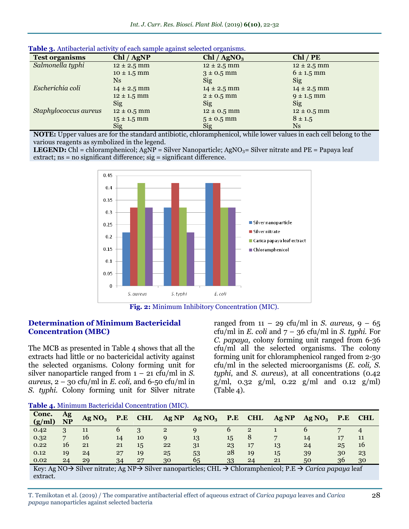| <b>Test organisms</b> | Chl / AgNP      | Chl / AgNO <sub>3</sub> | $Chl$ / $PE$    |
|-----------------------|-----------------|-------------------------|-----------------|
| Salmonella typhi      | $12 \pm 2.5$ mm | $12 \pm 2.5$ mm         | $12 \pm 2.5$ mm |
|                       | $10 \pm 1.5$ mm | $3 \pm 0.5$ mm          | $6 \pm 1.5$ mm  |
|                       | N <sub>S</sub>  | Sig                     | <b>Sig</b>      |
| Escherichia coli      | $14 \pm 2.5$ mm | $14 \pm 2.5$ mm         | $14 \pm 2.5$ mm |
|                       | $12 \pm 1.5$ mm | $2 \pm 0.5$ mm          | $9 \pm 1.5$ mm  |
|                       | Sig             | Sig                     | Sig             |
| Staphylococcus aureus | $12 \pm 0.5$ mm | $12 \pm 0.5$ mm         | $12 \pm 0.5$ mm |
|                       | $15 \pm 1.5$ mm | $5 \pm 0.5$ mm          | $8 \pm 1.5$     |
|                       | <b>Sig</b>      | Sig                     | Ns              |

| Table 3. Antibacterial activity of each sample against selected organisms. |  |  |  |
|----------------------------------------------------------------------------|--|--|--|
|----------------------------------------------------------------------------|--|--|--|

**NOTE:** Upper values are for the standard antibiotic, chloramphenicol, while lower values in each cell belong to the various reagents as symbolized in the legend.

**LEGEND:** Chl = chloramphenicol; AgNP = Silver Nanoparticle; AgNO<sub>3</sub>= Silver nitrate and PE = Papaya leaf extract; ns = no significant difference; sig = significant difference.



**Fig. 2:** Minimum Inhibitory Concentration (MIC).

#### **Determination of Minimum Bactericidal Concentration (MBC)**

The MCB as presented in Table 4 shows that all the extracts had little or no bactericidal activity against the selected organisms. Colony forming unit for silver nanoparticle ranged from 1 – 21 cfu/ml in *S. aureus*,  $2 - 30$  cfu/ml in *E. coli*, and 6-50 cfu/ml in *S. typhi.* Colony forming unit for Silver nitrate ranged from  $11 - 29$  cfu/ml in *S. aureus*,  $9 - 65$ cfu/ml in  $E$ . *coli* and  $7 - 36$  cfu/ml in  $S$ . *typhi*. For *C. papaya,* colony forming unit ranged from 6-36 cfu/ml all the selected organisms. The colony forming unit for chloramphenicol ranged from 2-30 cfu/ml in the selected microorganisms (*E. coli, S. typhi*, and *S. aureus*), at all concentrations (0.42  $g/ml$ , 0.32  $g/ml$ , 0.22  $g/ml$  and 0.12  $g/ml$ ) (Table 4).

**Table 4.** Minimum Bactericidal Concentration (MIC).

| Conc.<br>(g/ml) | <b>Ag</b><br><b>NP</b> | Ag NO <sub>3</sub> | P.E | <b>CHL</b> | Ag NP          | Ag NO <sub>3</sub> | P.E | <b>CHL</b>   | Ag NP | Ag NO <sub>3</sub> | P.E | <b>CHL</b> |
|-----------------|------------------------|--------------------|-----|------------|----------------|--------------------|-----|--------------|-------|--------------------|-----|------------|
| 0.42            |                        | 11                 |     |            | $\overline{2}$ |                    |     | $\mathbf{2}$ |       |                    |     |            |
| 0.32            | $\overline{ }$         | 16                 | 14  | 10         | a              | 13                 | 15  |              | -     | 14                 | 17  |            |
| 0.22            | 16                     | 21                 | 21  | 15         | 22             | 31                 | 23  | 17           | 13    | 24                 | 25  | 16         |
| 0.12            | 19                     | 24                 | 27  | 19         | 25             | 53                 | 28  | 19           | 15    | 39                 | 30  | 23         |
| 0.02            | 24                     | 29                 | 34  | 27         | 30             | 65                 | 33  | 24           | 21    | 50                 | 36  | 30         |

Key: Ag NO Silver nitrate; Ag NP Silver nanoparticles; CHL Chloramphenicol; P.E *Carica papaya* leaf extract.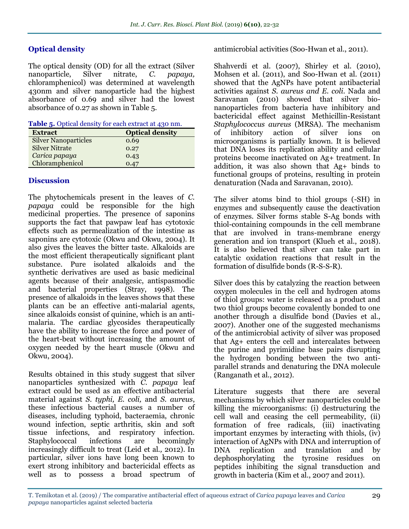## **Optical density**

The optical density (OD) for all the extract (Silver nanoparticle, Silver nitrate, *C. papaya,*  chloramphenicol) was determined at wavelength 430nm and silver nanoparticle had the highest absorbance of 0.69 and silver had the lowest absorbance of 0.27 as shown in Table 5.

|  |  | Table 5. Optical density for each extract at 430 nm. |  |
|--|--|------------------------------------------------------|--|
|  |  |                                                      |  |

| <b>Extract</b>              | <b>Optical density</b> |
|-----------------------------|------------------------|
| <b>Silver Nanoparticles</b> | 0.69                   |
| <b>Silver Nitrate</b>       | 0.27                   |
| Carica papaya               | 0.43                   |
| Chloramphenicol             | 0.47                   |

## **Discussion**

The phytochemicals present in the leaves of *C. papaya* could be responsible for the high medicinal properties. The presence of saponins supports the fact that pawpaw leaf has cytotoxic effects such as permealization of the intestine as saponins are cytotoxic (Okwu and Okwu, 2004). It also gives the leaves the bitter taste. Alkaloids are the most efficient therapeutically significant plant substance. Pure isolated alkaloids and the synthetic derivatives are used as basic medicinal agents because of their analgesic, antispasmodic and bacterial properties (Stray, 1998). The presence of alkaloids in the leaves shows that these plants can be an effective anti-malarial agents, since alkaloids consist of quinine, which is an antimalaria. The cardiac glycosides therapeutically have the ability to increase the force and power of the heart-beat without increasing the amount of oxygen needed by the heart muscle (Okwu and Okwu, 2004).

Results obtained in this study suggest that silver nanoparticles synthesized with *C. papaya* leaf extract could be used as an effective antibacterial material against *S. typhi, E. coli,* and *S. aureus*, these infectious bacterial causes a number of diseases, including typhoid, bacteraemia, chronic wound infection, septic arthritis, skin and soft tissue infections, and respiratory infection. Staphylococcal infections are becomingly increasingly difficult to treat (Leid et al*.,* 2012). In particular, silver ions have long been known to exert strong inhibitory and bactericidal effects as well as to possess a broad spectrum of antimicrobial activities (Soo-Hwan et al., 2011).

Shahverdi et al. (2007), Shirley et al*.* (2010), Mohsen et al. (2011), and Soo-Hwan et al. (2011) showed that the AgNPs have potent antibacterial activities against *S. aureus and E. coli*. Nada and Saravanan (2010) showed that silver bionanoparticles from bacteria have inhibitory and bactericidal effect against Methicillin-Resistant *Staphylococcus aureus* (MRSA). The mechanism of inhibitory action of silver ions on microorganisms is partially known. It is believed that DNA loses its replication ability and cellular proteins become inactivated on Ag+ treatment. In addition, it was also shown that Ag+ binds to functional groups of proteins, resulting in protein denaturation (Nada and Saravanan, 2010).

The silver atoms bind to thiol groups (-SH) in enzymes and subsequently cause the deactivation of enzymes. Silver forms stable S-Ag bonds with thiol-containing compounds in the cell membrane that are involved in trans-membrane energy generation and ion transport (Klueh et al., 2018). It is also believed that silver can take part in catalytic oxidation reactions that result in the formation of disulfide bonds (R-S-S-R).

Silver does this by catalyzing the reaction between oxygen molecules in the cell and hydrogen atoms of thiol groups: water is released as a product and two thiol groups become covalently bonded to one another through a disulfide bond (Davies et al., 2007). Another one of the suggested mechanisms of the antimicrobial activity of silver was proposed that Ag+ enters the cell and intercalates between the purine and pyrimidine base pairs disrupting the hydrogen bonding between the two antiparallel strands and denaturing the DNA molecule (Ranganath et al*.*, 2012).

Literature suggests that there are several mechanisms by which silver nanoparticles could be killing the microorganisms: (i) destructuring the cell wall and ceasing the cell permeability, (ii) formation of free radicals, (iii) inactivating important enzymes by interacting with thiols, (iv) interaction of AgNPs with DNA and interruption of DNA replication and translation and by dephosphorylating the tyrosine residues on peptides inhibiting the signal transduction and growth in bacteria (Kim et al., 2007 and 2011).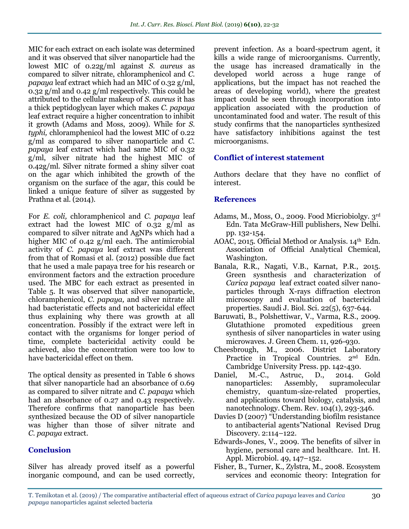MIC for each extract on each isolate was determined and it was observed that silver nanoparticle had the lowest MIC of 0.22g/ml against *S. aureus* as compared to silver nitrate, chloramphenicol and *C. papaya* leaf extract which had an MIC of 0.32 g/ml, 0.32 g/ml and 0.42 g/ml respectively. This could be attributed to the cellular makeup of *S. aureus* it has a thick peptidoglycan layer which makes *C. papaya*  leaf extract require a higher concentration to inhibit it growth (Adams and Moss, 2009). While for *S. typhi,* chloramphenicol had the lowest MIC of 0.22 g/ml as compared to silver nanoparticle and *C. papaya* leaf extract which had same MIC of 0.32 g/ml, silver nitrate had the highest MIC of 0.42g/ml. Silver nitrate formed a shiny silver coat on the agar which inhibited the growth of the organism on the surface of the agar, this could be linked a unique feature of silver as suggested by Prathna et al*.* (2014).

For *E. coli,* chloramphenicol and *C. papaya* leaf extract had the lowest MIC of 0.32 g/ml as compared to silver nitrate and AgNPs which had a higher MIC of 0.42 g/ml each. The antimicrobial activity of *C. papaya* leaf extract was different from that of Romasi et al*.* (2012) possible due fact that he used a male papaya tree for his research or environment factors and the extraction procedure used. The MBC for each extract as presented in Table 5. It was observed that silver nanoparticle, chloramphenicol, *C. papaya,* and silver nitrate all had bacteristatic effects and not bactericidal effect thus explaining why there was growth at all concentration. Possibly if the extract were left in contact with the organisms for longer period of time, complete bactericidal activity could be achieved, also the concentration were too low to have bactericidal effect on them.

The optical density as presented in Table 6 shows that silver nanoparticle had an absorbance of 0.69 as compared to silver nitrate and *C. papaya* which had an absorbance of 0.27 and 0.43 respectively. Therefore confirms that nanoparticle has been synthesized because the OD of silver nanoparticle was higher than those of silver nitrate and *C. papaya* extract*.*

## **Conclusion**

Silver has already proved itself as a powerful inorganic compound, and can be used correctly,

prevent infection. As a board-spectrum agent, it kills a wide range of microorganisms. Currently, the usage has increased dramatically in the developed world across a huge range of applications, but the impact has not reached the areas of developing world), where the greatest impact could be seen through incorporation into application associated with the production of uncontaminated food and water. The result of this study confirms that the nanoparticles synthesized have satisfactory inhibitions against the test microorganisms.

## **Conflict of interest statement**

Authors declare that they have no conflict of interest.

#### **References**

- Adams, M., Moss, O., 2009. Food Micriobiolgy. 3rd Edn. Tata McGraw-Hill publishers, New Delhi. pp. 132-154.
- AOAC, 2015. Official Method or Analysis.  $14<sup>th</sup>$  Edn. Association of Official Analytical Chemical, Washington.
- Banala, R.R., Nagati, V.B., Karnat, P.R., 2o15. Green sysnthesis and characterization of *Carica papaya* leaf extract coated silver nanoparticles through X-rays diffraction electron microscopy and evaluation of bactericidal properties. Saudi J. Biol. Sci. 22(5), 637-644.
- Baruwati, B., Polshettiwar, V., Varma, R.S., 2009. Glutathione promoted expeditious green synthesis of silver nanoparticles in water using microwaves. J. Green Chem. 11, 926-930.
- Cheesbrough, M., 2006. District Laboratory Practice in Tropical Countries. 2<sup>nd</sup> Edn. Cambridge University Press. pp. 142-430.
- Daniel, M.-C., Astruc, D., 2014. Gold nanoparticles: Assembly, supramolecular chemistry, quantum-size-related properties, and applications toward biology, catalysis, and nanotechnology. Chem. Rev. 104(1), 293-346.
- Davies D (2007) "Understanding biofilm resistance to antibacterial agents"National Revised Drug Discovery. 2:114–122.
- Edwards-Jones, V., 2009. The benefits of silver in hygiene, personal care and healthcare. Int. H. Appl. Microbiol. 49, 147–152.
- Fisher, B., Turner, K., Zylstra, M., 2008. Ecosystem services and economic theory: Integration for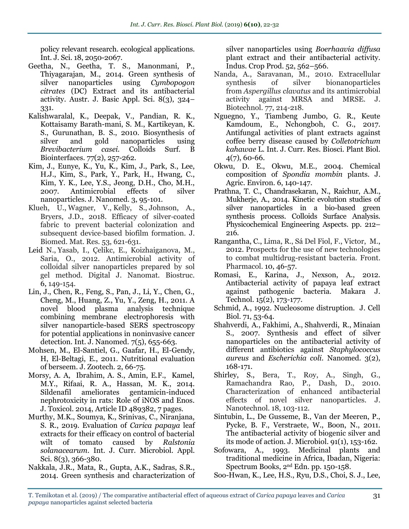policy relevant research. ecological applications. Int. J. Sci. 18, 2050-2067.

- Geetha, N., Geetha, T. S., Manonmani, P., Thiyagarajan, M., 2014. Green synthesis of silver nanoparticles using *Cymbopogon citrates* (DC) Extract and its antibacterial activity. Austr. J. Basic Appl. Sci. 8(3), 324– 331.
- Kalishwaralal, K., Deepak, V., Pandian, R. K., Kottaisamy Barath-mani, S. M., Kartikeyan, K. S., Gurunathan, B. S., 2010. Biosynthesis of silver and gold nanoparticles using *Brevibacterium casei.* Colloids Surf. B Biointerfaces. 77(2), 257-262.
- Kim, J., Eunye, K., Yu, K., Kim, J., Park, S., Lee, H.J., Kim, S., Park, Y., Park, H., Hwang, C., Kim, Y. K., Lee, Y.S., Jeong, D.H., Cho, M.H., 2007. Antimicrobial effects of silver nanoparticles. J. Nanomed. 3, 95-101.
- Klueh, U., Wagner, V., Kelly, S., Johnson, A., Bryers, J.D., 2018. Efficacy of silver‐coated fabric to prevent bacterial colonization and subsequent device‐based biofilm formation. J. Biomed. Mat. Res. 53, 621-631.
- Leid N., Yasab, I., Çelikc, E., Koizhaiganova, M., Saria, O., 2012. Antimicrobial activity of colloidal silver nanoparticles prepared by sol gel method. Digital J. Nanomat. Biostruc. 6, 149-154.
- Lin, J., Chen, R., Feng, S., Pan, J., Li, Y., Chen, G., Cheng, M., Huang, Z., Yu, Y., Zeng, H., 2011. A novel blood plasma analysis technique combining membrane electrophoresis with silver nanoparticle-based SERS spectroscopy for potential applications in noninvasive cancer detection. Int. J. Nanomed. 7(5), 655-663.
- Mohsen, M., El-Santiel, G., Gaafar, H., El-Gendy, H, El-Beltagi, E., 2011. Nutritional evaluation of berseem. J. Zootech. 2, 66-75.
- Morsy, A. A, Ibrahim, A. S., Amin, E.F., Kamel, M.Y., Rifaai, R. A., Hassan, M. K., 2014. Sildenafil ameliorates gentamicin-induced nephrotoxicity in rats: Role of iNOS and Enos. J. Toxicol. 2014, Article ID 489382, 7 pages.
- Murthy, M.K., Soumya, K., Srinivas, C., Niranjana, S. R., 2019. Evaluation of *Carica papaya* leaf extracts for their efficacy on control of bacterial wilt of tomato caused by *Ralstonia solanacearum*. Int. J. Curr. Microbiol. Appl. Sci. 8(3), 366-380.
- Nakkala, J.R., Mata, R., Gupta, A.K., Sadras, S.R., 2014. Green synthesis and characterization of

silver nanoparticles using *Boerhaavia diffusa* plant extract and their antibacterial activity. Indus. Crop Prod. 52, 562–566.

- Nanda, A., Saravanan, M., 2010. Extracellular synthesis of silver bionanoparticles from *Aspergillus clavatus* and its antimicrobial activity against MRSA and MRSE. J. Biotechnol. 77, 214-218.
- Nguegno, Y., Tiambeng Jumbo, G. R., Keute Kamdoum, E., Nchongboh, C. G., 2017. Antifungal activities of plant extracts against coffee berry disease caused by *Colletotrichum kahawae* L. Int. J. Curr. Res. Biosci. Plant Biol. 4(7), 60-66.
- Okwu, D. E., Okwu, M.E., 2004. Chemical composition of *Spondia mombin* plants. J. Agric. Environ. 6, 140-147.
- Prathna, T. C., Chandrasekaran, N., Raichur, A.M., Mukherje, A., 2014. Kinetic evolution studies of silver nanoparticles in a bio-based green synthesis process. Colloids Surface Analysis. Physicochemical Engineering Aspects. pp. 212– 216.
- Rangantha, C., Lima, R., Sá Del Fiol, F., Victor, M., 2012. Prospects for the use of new technologies to combat multidrug-resistant bacteria. Front. Pharmacol. 10, 46-57.
- Romasi, E., Karina, J., Nexson, A., 2012. Antibacterial activity of papaya leaf extract against pathogenic bacteria. Makara J. Technol. 15(2), 173-177.
- Schmid, A., 1992. Nucleosome distruption. J. Cell Biol. 71, 53-64.
- Shahverdi, A., Fakhimi, A., Shahverdi, R., Minaian S., 2007. Synthesis and effect of silver nanoparticles on the antibacterial activity of different antibiotics against *Staphylococcus aureus* and *Escherichia coli*. Nanomed. 3(2), 168-171.
- Shirley, S., Bera, T., Roy, A., Singh, G., Ramachandra Rao, P., Dash, D., 2010. Characterization of enhanced antibacterial effects of novel silver nanoparticles. J. Nanotechnol. 18, 103-112.
- Sintubin, L., De Gusseme, B., Van der Meeren, P., Pycke, B. F., Verstraete, W., Boon, N., 2011. The antibacterial activity of biogenic silver and its mode of action. J. Microbiol. 91(1), 153-162.
- Sofowara, A., 1993. Medicinal plants and traditional medicine in Africa, Ibadan, Nigeria: Spectrum Books, 2nd Edn. pp. 150-158.

Soo-Hwan, K., Lee, H.S., Ryu, D.S., Choi, S. J., Lee,